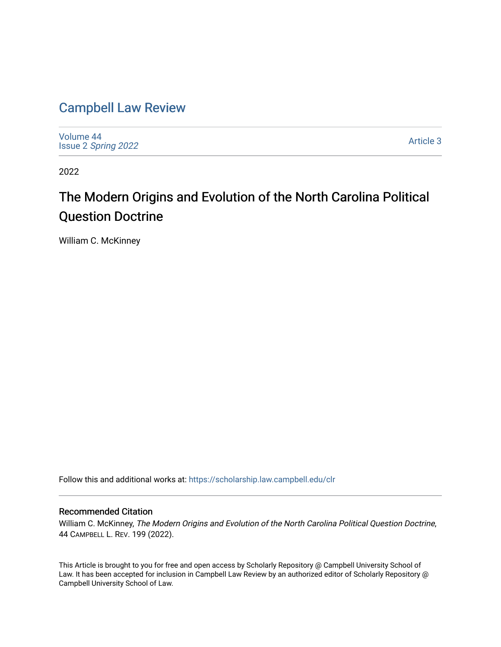# [Campbell Law Review](https://scholarship.law.campbell.edu/clr)

[Volume 44](https://scholarship.law.campbell.edu/clr/vol44) Issue 2 [Spring 2022](https://scholarship.law.campbell.edu/clr/vol44/iss2) 

[Article 3](https://scholarship.law.campbell.edu/clr/vol44/iss2/3) 

2022

# The Modern Origins and Evolution of the North Carolina Political Question Doctrine

William C. McKinney

Follow this and additional works at: [https://scholarship.law.campbell.edu/clr](https://scholarship.law.campbell.edu/clr?utm_source=scholarship.law.campbell.edu%2Fclr%2Fvol44%2Fiss2%2F3&utm_medium=PDF&utm_campaign=PDFCoverPages) 

### Recommended Citation

William C. McKinney, The Modern Origins and Evolution of the North Carolina Political Question Doctrine, 44 CAMPBELL L. REV. 199 (2022).

This Article is brought to you for free and open access by Scholarly Repository @ Campbell University School of Law. It has been accepted for inclusion in Campbell Law Review by an authorized editor of Scholarly Repository @ Campbell University School of Law.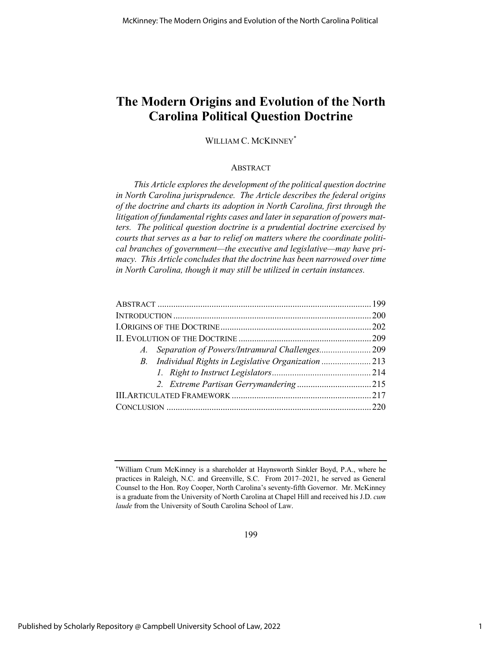## **The Modern Origins and Evolution of the North Carolina Political Question Doctrine**

### WILLIAM C. MCKINNEY\*

### **ABSTRACT**

*This Article explores the development of the political question doctrine in North Carolina jurisprudence. The Article describes the federal origins of the doctrine and charts its adoption in North Carolina, first through the litigation of fundamental rights cases and later in separation of powers matters. The political question doctrine is a prudential doctrine exercised by courts that serves as a bar to relief on matters where the coordinate political branches of government—the executive and legislative—may have primacy. This Article concludes that the doctrine has been narrowed over time in North Carolina, though it may still be utilized in certain instances.*

<sup>\*</sup> William Crum McKinney is a shareholder at Haynsworth Sinkler Boyd, P.A., where he practices in Raleigh, N.C. and Greenville, S.C. From 2017–2021, he served as General Counsel to the Hon. Roy Cooper, North Carolina's seventy-fifth Governor. Mr. McKinney is a graduate from the University of North Carolina at Chapel Hill and received his J.D. *cum laude* from the University of South Carolina School of Law.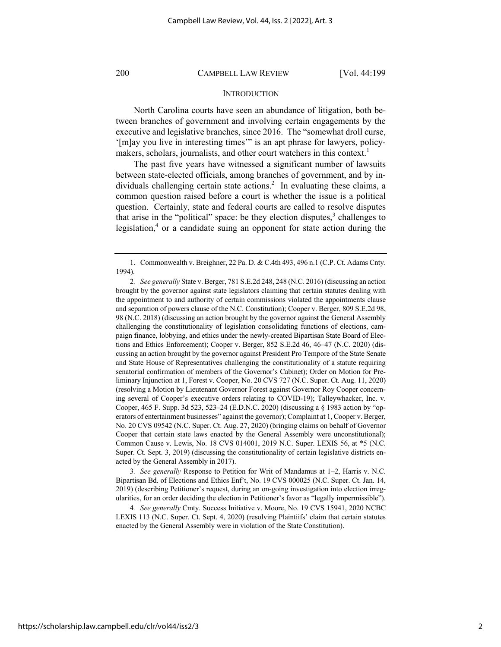### **INTRODUCTION**

North Carolina courts have seen an abundance of litigation, both between branches of government and involving certain engagements by the executive and legislative branches, since 2016. The "somewhat droll curse, '[m]ay you live in interesting times'" is an apt phrase for lawyers, policymakers, scholars, journalists, and other court watchers in this context.<sup>1</sup>

The past five years have witnessed a significant number of lawsuits between state-elected officials, among branches of government, and by individuals challenging certain state actions.<sup>2</sup> In evaluating these claims, a common question raised before a court is whether the issue is a political question. Certainly, state and federal courts are called to resolve disputes that arise in the "political" space: be they election disputes, $3$  challenges to legislation, $4$  or a candidate suing an opponent for state action during the

3*. See generally* Response to Petition for Writ of Mandamus at 1–2, Harris v. N.C. Bipartisan Bd. of Elections and Ethics Enf't, No. 19 CVS 000025 (N.C. Super. Ct. Jan. 14, 2019) (describing Petitioner's request, during an on-going investigation into election irregularities, for an order deciding the election in Petitioner's favor as "legally impermissible").

4*. See generally* Cmty. Success Initiative v. Moore, No. 19 CVS 15941, 2020 NCBC LEXIS 113 (N.C. Super. Ct. Sept. 4, 2020) (resolving Plaintiifs' claim that certain statutes enacted by the General Assembly were in violation of the State Constitution).

<sup>1.</sup> Commonwealth v. Breighner, 22 Pa. D. & C.4th 493, 496 n.1 (C.P. Ct. Adams Cnty. 1994).

<sup>2</sup>*. See generally* State v. Berger, 781 S.E.2d 248, 248 (N.C. 2016) (discussing an action brought by the governor against state legislators claiming that certain statutes dealing with the appointment to and authority of certain commissions violated the appointments clause and separation of powers clause of the N.C. Constitution); Cooper v. Berger, 809 S.E.2d 98, 98 (N.C. 2018) (discussing an action brought by the governor against the General Assembly challenging the constitutionality of legislation consolidating functions of elections, campaign finance, lobbying, and ethics under the newly-created Bipartisan State Board of Elections and Ethics Enforcement); Cooper v. Berger, 852 S.E.2d 46, 46–47 (N.C. 2020) (discussing an action brought by the governor against President Pro Tempore of the State Senate and State House of Representatives challenging the constitutionality of a statute requiring senatorial confirmation of members of the Governor's Cabinet); Order on Motion for Preliminary Injunction at 1, Forest v. Cooper, No. 20 CVS 727 (N.C. Super. Ct. Aug. 11, 2020) (resolving a Motion by Lieutenant Governor Forest against Governor Roy Cooper concerning several of Cooper's executive orders relating to COVID-19); Talleywhacker, Inc. v. Cooper, 465 F. Supp. 3d 523, 523–24 (E.D.N.C. 2020) (discussing a § 1983 action by "operators of entertainment businesses" against the governor); Complaint at 1, Cooper v. Berger, No. 20 CVS 09542 (N.C. Super. Ct. Aug. 27, 2020) (bringing claims on behalf of Governor Cooper that certain state laws enacted by the General Assembly were unconstitutional); Common Cause v. Lewis, No. 18 CVS 014001, 2019 N.C. Super. LEXIS 56, at \*5 (N.C. Super. Ct. Sept. 3, 2019) (discussing the constitutionality of certain legislative districts enacted by the General Assembly in 2017).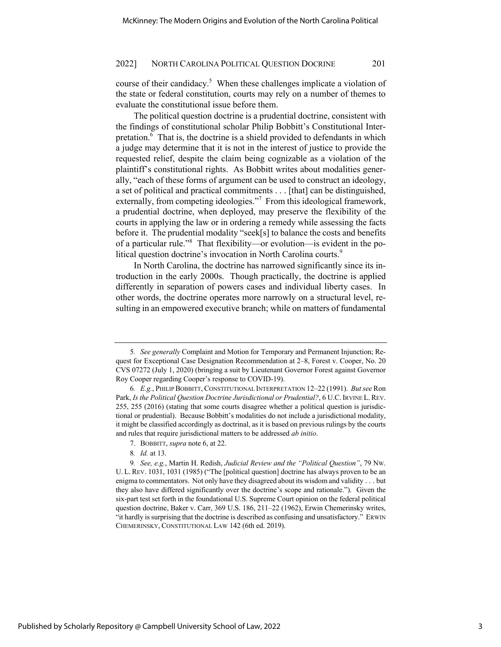course of their candidacy.<sup>5</sup> When these challenges implicate a violation of the state or federal constitution, courts may rely on a number of themes to evaluate the constitutional issue before them.

The political question doctrine is a prudential doctrine, consistent with the findings of constitutional scholar Philip Bobbitt's Constitutional Interpretation.<sup>6</sup> That is, the doctrine is a shield provided to defendants in which a judge may determine that it is not in the interest of justice to provide the requested relief, despite the claim being cognizable as a violation of the plaintiff's constitutional rights. As Bobbitt writes about modalities generally, "each of these forms of argument can be used to construct an ideology, a set of political and practical commitments . . . [that] can be distinguished, externally, from competing ideologies."<sup>7</sup> From this ideological framework, a prudential doctrine, when deployed, may preserve the flexibility of the courts in applying the law or in ordering a remedy while assessing the facts before it. The prudential modality "seek[s] to balance the costs and benefits of a particular rule."<sup>8</sup> That flexibility—or evolution—is evident in the political question doctrine's invocation in North Carolina courts.<sup>9</sup>

In North Carolina, the doctrine has narrowed significantly since its introduction in the early 2000s. Though practically, the doctrine is applied differently in separation of powers cases and individual liberty cases. In other words, the doctrine operates more narrowly on a structural level, resulting in an empowered executive branch; while on matters of fundamental

<sup>5</sup>*. See generally* Complaint and Motion for Temporary and Permanent Injunction; Request for Exceptional Case Designation Recommendation at 2–8, Forest v. Cooper, No. 20 CVS 07272 (July 1, 2020) (bringing a suit by Lieutenant Governor Forest against Governor Roy Cooper regarding Cooper's response to COVID-19).

<sup>6</sup>*. E.g.*, PHILIP BOBBITT, CONSTITUTIONAL INTERPRETATION 12–22 (1991). *But see* Ron Park, *Is the Political Question Doctrine Jurisdictional or Prudential?*, 6 U.C. IRVINE L. REV. 255, 255 (2016) (stating that some courts disagree whether a political question is jurisdictional or prudential). Because Bobbitt's modalities do not include a jurisdictional modality, it might be classified accordingly as doctrinal, as it is based on previous rulings by the courts and rules that require jurisdictional matters to be addressed *ab initio*.

<sup>7.</sup> BOBBITT, *supra* note 6, at 22.

<sup>8</sup>*. Id.* at 13.

<sup>9</sup>*. See, e.g.*, Martin H. Redish, *Judicial Review and the "Political Question"*, 79 NW. U. L. REV. 1031, 1031 (1985) ("The [political question] doctrine has always proven to be an enigma to commentators. Not only have they disagreed about its wisdom and validity . . . but they also have differed significantly over the doctrine's scope and rationale."). Given the six-part test set forth in the foundational U.S. Supreme Court opinion on the federal political question doctrine, Baker v. Carr, 369 U.S. 186, 211–22 (1962), Erwin Chemerinsky writes, "it hardly is surprising that the doctrine is described as confusing and unsatisfactory." ERWIN CHEMERINSKY, CONSTITUTIONAL LAW 142 (6th ed. 2019).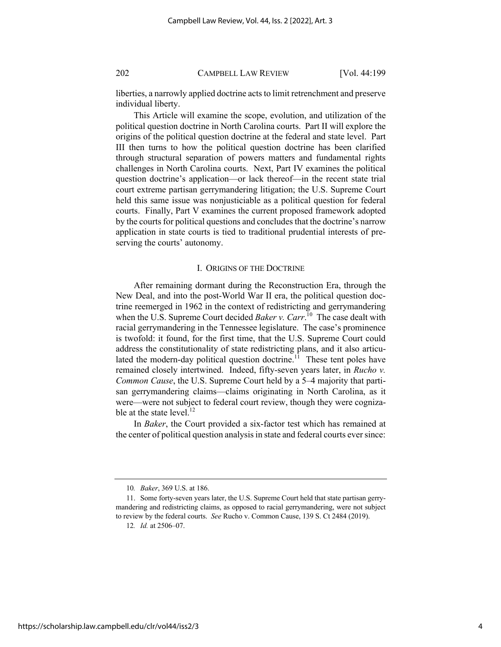liberties, a narrowly applied doctrine acts to limit retrenchment and preserve individual liberty.

This Article will examine the scope, evolution, and utilization of the political question doctrine in North Carolina courts. Part II will explore the origins of the political question doctrine at the federal and state level. Part III then turns to how the political question doctrine has been clarified through structural separation of powers matters and fundamental rights challenges in North Carolina courts. Next, Part IV examines the political question doctrine's application—or lack thereof—in the recent state trial court extreme partisan gerrymandering litigation; the U.S. Supreme Court held this same issue was nonjusticiable as a political question for federal courts. Finally, Part V examines the current proposed framework adopted by the courts for political questions and concludes that the doctrine's narrow application in state courts is tied to traditional prudential interests of preserving the courts' autonomy.

### I. ORIGINS OF THE DOCTRINE

After remaining dormant during the Reconstruction Era, through the New Deal, and into the post-World War II era, the political question doctrine reemerged in 1962 in the context of redistricting and gerrymandering when the U.S. Supreme Court decided *Baker v. Carr*. 10 The case dealt with racial gerrymandering in the Tennessee legislature. The case's prominence is twofold: it found, for the first time, that the U.S. Supreme Court could address the constitutionality of state redistricting plans, and it also articulated the modern-day political question doctrine.<sup>11</sup> These tent poles have remained closely intertwined. Indeed, fifty-seven years later, in *Rucho v. Common Cause*, the U.S. Supreme Court held by a 5–4 majority that partisan gerrymandering claims—claims originating in North Carolina, as it were—were not subject to federal court review, though they were cognizable at the state level.<sup>12</sup>

In *Baker*, the Court provided a six-factor test which has remained at the center of political question analysis in state and federal courts ever since:

<sup>10</sup>*. Baker*, 369 U.S. at 186.

<sup>11.</sup> Some forty-seven years later, the U.S. Supreme Court held that state partisan gerrymandering and redistricting claims, as opposed to racial gerrymandering, were not subject to review by the federal courts. *See* Rucho v. Common Cause, 139 S. Ct 2484 (2019).

<sup>12</sup>*. Id.* at 2506–07.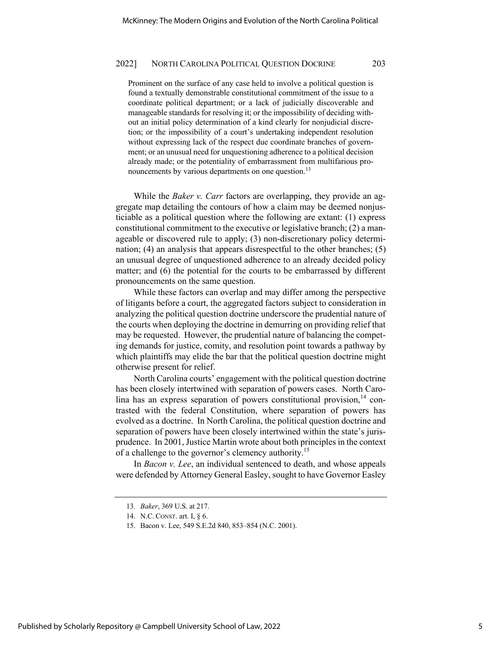Prominent on the surface of any case held to involve a political question is found a textually demonstrable constitutional commitment of the issue to a coordinate political department; or a lack of judicially discoverable and manageable standards for resolving it; or the impossibility of deciding without an initial policy determination of a kind clearly for nonjudicial discretion; or the impossibility of a court's undertaking independent resolution without expressing lack of the respect due coordinate branches of government; or an unusual need for unquestioning adherence to a political decision already made; or the potentiality of embarrassment from multifarious pronouncements by various departments on one question.<sup>13</sup>

While the *Baker v. Carr* factors are overlapping, they provide an aggregate map detailing the contours of how a claim may be deemed nonjusticiable as a political question where the following are extant: (1) express constitutional commitment to the executive or legislative branch; (2) a manageable or discovered rule to apply; (3) non-discretionary policy determination; (4) an analysis that appears disrespectful to the other branches; (5) an unusual degree of unquestioned adherence to an already decided policy matter; and (6) the potential for the courts to be embarrassed by different pronouncements on the same question.

While these factors can overlap and may differ among the perspective of litigants before a court, the aggregated factors subject to consideration in analyzing the political question doctrine underscore the prudential nature of the courts when deploying the doctrine in demurring on providing relief that may be requested. However, the prudential nature of balancing the competing demands for justice, comity, and resolution point towards a pathway by which plaintiffs may elide the bar that the political question doctrine might otherwise present for relief.

North Carolina courts' engagement with the political question doctrine has been closely intertwined with separation of powers cases. North Carolina has an express separation of powers constitutional provision, $14$  contrasted with the federal Constitution, where separation of powers has evolved as a doctrine. In North Carolina, the political question doctrine and separation of powers have been closely intertwined within the state's jurisprudence. In 2001, Justice Martin wrote about both principles in the context of a challenge to the governor's clemency authority.<sup>15</sup>

In *Bacon v. Lee*, an individual sentenced to death, and whose appeals were defended by Attorney General Easley, sought to have Governor Easley

<sup>13</sup>*. Baker*, 369 U.S. at 217.

<sup>14.</sup> N.C. CONST. art. I, § 6.

<sup>15.</sup> Bacon v. Lee, 549 S.E.2d 840, 853–854 (N.C. 2001).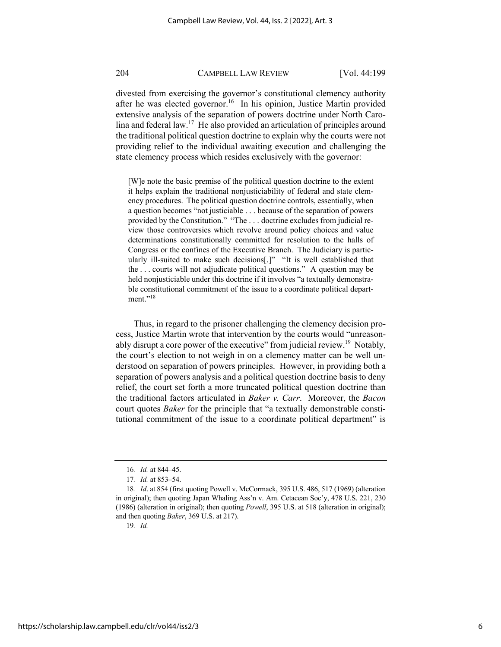divested from exercising the governor's constitutional clemency authority after he was elected governor.<sup>16</sup> In his opinion, Justice Martin provided extensive analysis of the separation of powers doctrine under North Carolina and federal law.17 He also provided an articulation of principles around the traditional political question doctrine to explain why the courts were not providing relief to the individual awaiting execution and challenging the state clemency process which resides exclusively with the governor:

[W]e note the basic premise of the political question doctrine to the extent it helps explain the traditional nonjusticiability of federal and state clemency procedures. The political question doctrine controls, essentially, when a question becomes "not justiciable . . . because of the separation of powers provided by the Constitution." "The . . . doctrine excludes from judicial review those controversies which revolve around policy choices and value determinations constitutionally committed for resolution to the halls of Congress or the confines of the Executive Branch. The Judiciary is particularly ill-suited to make such decisions[.]" "It is well established that the . . . courts will not adjudicate political questions." A question may be held nonjusticiable under this doctrine if it involves "a textually demonstrable constitutional commitment of the issue to a coordinate political department."<sup>18</sup>

Thus, in regard to the prisoner challenging the clemency decision process, Justice Martin wrote that intervention by the courts would "unreasonably disrupt a core power of the executive" from judicial review.<sup>19</sup> Notably, the court's election to not weigh in on a clemency matter can be well understood on separation of powers principles. However, in providing both a separation of powers analysis and a political question doctrine basis to deny relief, the court set forth a more truncated political question doctrine than the traditional factors articulated in *Baker v. Carr*. Moreover, the *Bacon* court quotes *Baker* for the principle that "a textually demonstrable constitutional commitment of the issue to a coordinate political department" is

19*. Id.*

<sup>16</sup>*. Id.* at 844–45.

<sup>17</sup>*. Id.* at 853–54.

<sup>18</sup>*. Id*. at 854 (first quoting Powell v. McCormack, 395 U.S. 486, 517 (1969) (alteration in original); then quoting Japan Whaling Ass'n v. Am. Cetacean Soc'y, 478 U.S. 221, 230 (1986) (alteration in original); then quoting *Powell*, 395 U.S. at 518 (alteration in original); and then quoting *Baker*, 369 U.S. at 217).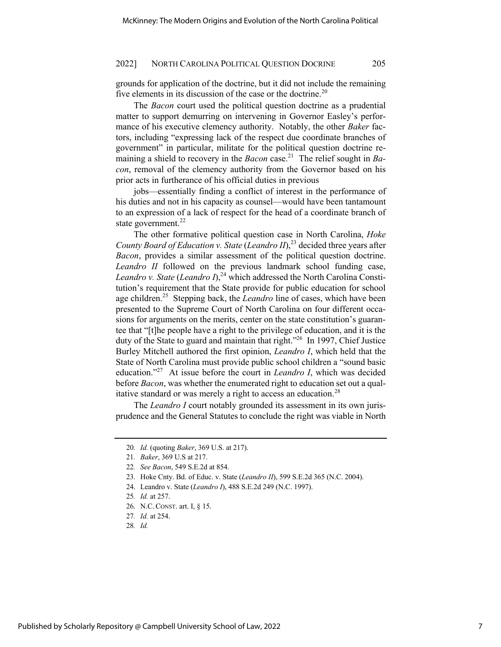grounds for application of the doctrine, but it did not include the remaining five elements in its discussion of the case or the doctrine. $20$ 

The *Bacon* court used the political question doctrine as a prudential matter to support demurring on intervening in Governor Easley's performance of his executive clemency authority. Notably, the other *Baker* factors, including "expressing lack of the respect due coordinate branches of government" in particular, militate for the political question doctrine remaining a shield to recovery in the *Bacon* case.<sup>21</sup> The relief sought in *Bacon*, removal of the clemency authority from the Governor based on his prior acts in furtherance of his official duties in previous

jobs—essentially finding a conflict of interest in the performance of his duties and not in his capacity as counsel—would have been tantamount to an expression of a lack of respect for the head of a coordinate branch of state government. $^{22}$ 

The other formative political question case in North Carolina, *Hoke County Board of Education v. State* (*Leandro II*),<sup>23</sup> decided three years after *Bacon*, provides a similar assessment of the political question doctrine. *Leandro II* followed on the previous landmark school funding case, *Leandro v. State* (*Leandro I*), <sup>24</sup> which addressed the North Carolina Constitution's requirement that the State provide for public education for school age children.<sup>25</sup> Stepping back, the *Leandro* line of cases, which have been presented to the Supreme Court of North Carolina on four different occasions for arguments on the merits, center on the state constitution's guarantee that "[t]he people have a right to the privilege of education, and it is the duty of the State to guard and maintain that right."<sup>26</sup> In 1997, Chief Justice Burley Mitchell authored the first opinion, *Leandro I*, which held that the State of North Carolina must provide public school children a "sound basic education."27 At issue before the court in *Leandro I*, which was decided before *Bacon*, was whether the enumerated right to education set out a qualitative standard or was merely a right to access an education.<sup>28</sup>

The *Leandro I* court notably grounded its assessment in its own jurisprudence and the General Statutes to conclude the right was viable in North

<sup>20</sup>*. Id.* (quoting *Baker*, 369 U.S. at 217).

<sup>21</sup>*. Baker*, 369 U.S at 217.

<sup>22</sup>*. See Bacon*, 549 S.E.2d at 854.

<sup>23.</sup> Hoke Cnty. Bd. of Educ. v. State (*Leandro II*), 599 S.E.2d 365 (N.C. 2004).

<sup>24.</sup> Leandro v. State (*Leandro I*), 488 S.E.2d 249 (N.C. 1997).

<sup>25</sup>*. Id.* at 257.

<sup>26.</sup> N.C. CONST. art. I, § 15.

<sup>27</sup>*. Id.* at 254.

<sup>28</sup>*. Id.*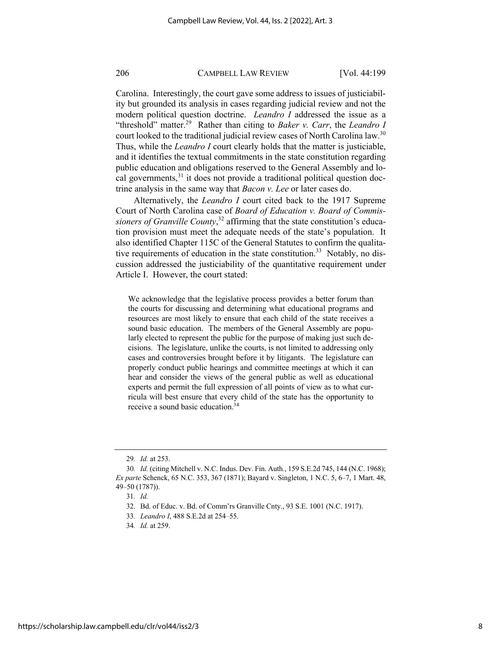Carolina. Interestingly, the court gave some address to issues of justiciability but grounded its analysis in cases regarding judicial review and not the modern political question doctrine. *Leandro I* addressed the issue as a "threshold" matter.<sup>29</sup> Rather than citing to *Baker v. Carr*, the *Leandro I* court looked to the traditional judicial review cases of North Carolina law.<sup>30</sup> Thus, while the *Leandro I* court clearly holds that the matter is justiciable, and it identifies the textual commitments in the state constitution regarding public education and obligations reserved to the General Assembly and local governments, $31$  it does not provide a traditional political question doctrine analysis in the same way that *Bacon v. Lee* or later cases do.

Alternatively, the *Leandro I* court cited back to the 1917 Supreme Court of North Carolina case of *Board of Education v. Board of Commissioners of Granville County*, <sup>32</sup> affirming that the state constitution's education provision must meet the adequate needs of the state's population. It also identified Chapter 115C of the General Statutes to confirm the qualitative requirements of education in the state constitution.<sup>33</sup> Notably, no discussion addressed the justiciability of the quantitative requirement under Article I. However, the court stated:

We acknowledge that the legislative process provides a better forum than the courts for discussing and determining what educational programs and resources are most likely to ensure that each child of the state receives a sound basic education. The members of the General Assembly are popularly elected to represent the public for the purpose of making just such decisions. The legislature, unlike the courts, is not limited to addressing only cases and controversies brought before it by litigants. The legislature can properly conduct public hearings and committee meetings at which it can hear and consider the views of the general public as well as educational experts and permit the full expression of all points of view as to what curricula will best ensure that every child of the state has the opportunity to receive a sound basic education.34

<sup>29</sup>*. Id.* at 253.

<sup>30</sup>*. Id.* (citing Mitchell v. N.C. Indus. Dev. Fin. Auth*.*, 159 S.E.2d 745, 144 (N.C. 1968); *Ex parte* Schenck, 65 N.C. 353, 367 (1871); Bayard v. Singleton, 1 N.C. 5, 6–7, 1 Mart. 48, 49–50 (1787)).

<sup>31</sup>*. Id.*

<sup>32.</sup> Bd. of Educ. v. Bd. of Comm'rs Granville Cnty., 93 S.E. 1001 (N.C. 1917).

<sup>33</sup>*. Leandro I*, 488 S.E.2d at 254–55.

<sup>34</sup>*. Id.* at 259.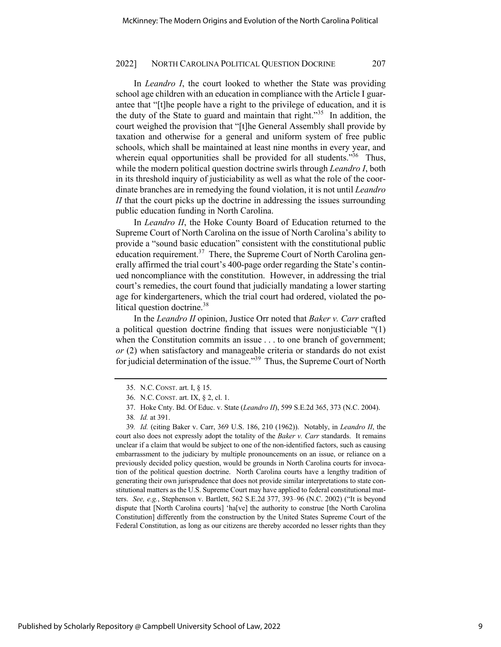In *Leandro I*, the court looked to whether the State was providing school age children with an education in compliance with the Article I guarantee that "[t]he people have a right to the privilege of education, and it is the duty of the State to guard and maintain that right."35 In addition, the court weighed the provision that "[t]he General Assembly shall provide by taxation and otherwise for a general and uniform system of free public schools, which shall be maintained at least nine months in every year, and wherein equal opportunities shall be provided for all students."<sup>36</sup> Thus, while the modern political question doctrine swirls through *Leandro I*, both in its threshold inquiry of justiciability as well as what the role of the coordinate branches are in remedying the found violation, it is not until *Leandro II* that the court picks up the doctrine in addressing the issues surrounding public education funding in North Carolina.

In *Leandro II*, the Hoke County Board of Education returned to the Supreme Court of North Carolina on the issue of North Carolina's ability to provide a "sound basic education" consistent with the constitutional public education requirement.<sup>37</sup> There, the Supreme Court of North Carolina generally affirmed the trial court's 400-page order regarding the State's continued noncompliance with the constitution. However, in addressing the trial court's remedies, the court found that judicially mandating a lower starting age for kindergarteners, which the trial court had ordered, violated the political question doctrine.<sup>38</sup>

In the *Leandro II* opinion, Justice Orr noted that *Baker v. Carr* crafted a political question doctrine finding that issues were nonjusticiable "(1) when the Constitution commits an issue . . . to one branch of government; *or* (2) when satisfactory and manageable criteria or standards do not exist for judicial determination of the issue."39 Thus, the Supreme Court of North

<sup>35.</sup> N.C. CONST. art. I, § 15.

<sup>36.</sup> N.C. CONST. art. IX, § 2, cl. 1.

<sup>37.</sup> Hoke Cnty. Bd. Of Educ. v. State (*Leandro II*), 599 S.E.2d 365, 373 (N.C. 2004).

<sup>38</sup>*. Id.* at 391.

<sup>39</sup>*. Id.* (citing Baker v. Carr, 369 U.S. 186, 210 (1962)). Notably, in *Leandro II*, the court also does not expressly adopt the totality of the *Baker v. Carr* standards. It remains unclear if a claim that would be subject to one of the non-identified factors, such as causing embarrassment to the judiciary by multiple pronouncements on an issue, or reliance on a previously decided policy question, would be grounds in North Carolina courts for invocation of the political question doctrine. North Carolina courts have a lengthy tradition of generating their own jurisprudence that does not provide similar interpretations to state constitutional matters as the U.S. Supreme Court may have applied to federal constitutional matters. *See, e.g.*, Stephenson v. Bartlett, 562 S.E.2d 377, 393–96 (N.C. 2002) ("It is beyond dispute that [North Carolina courts] 'ha[ve] the authority to construe [the North Carolina Constitution] differently from the construction by the United States Supreme Court of the Federal Constitution, as long as our citizens are thereby accorded no lesser rights than they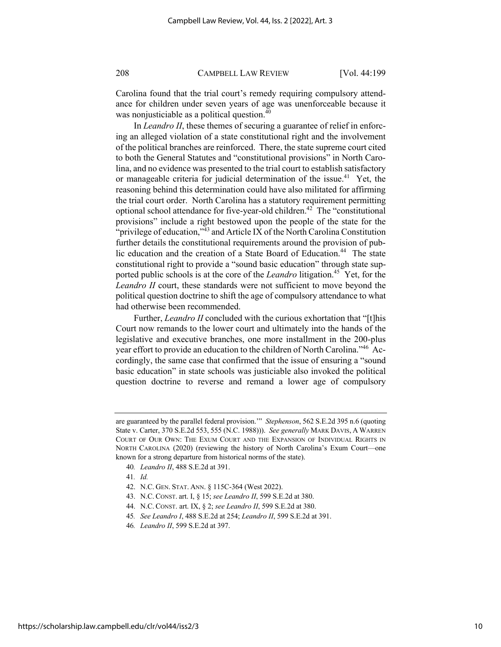Carolina found that the trial court's remedy requiring compulsory attendance for children under seven years of age was unenforceable because it was nonjusticiable as a political question.<sup>40</sup>

In *Leandro II*, these themes of securing a guarantee of relief in enforcing an alleged violation of a state constitutional right and the involvement of the political branches are reinforced. There, the state supreme court cited to both the General Statutes and "constitutional provisions" in North Carolina, and no evidence was presented to the trial court to establish satisfactory or manageable criteria for judicial determination of the issue.<sup>41</sup> Yet, the reasoning behind this determination could have also militated for affirming the trial court order. North Carolina has a statutory requirement permitting optional school attendance for five-year-old children.<sup>42</sup> The "constitutional provisions" include a right bestowed upon the people of the state for the "privilege of education," $43$  and Article IX of the North Carolina Constitution further details the constitutional requirements around the provision of public education and the creation of a State Board of Education.<sup>44</sup> The state constitutional right to provide a "sound basic education" through state supported public schools is at the core of the *Leandro* litigation.<sup>45</sup> Yet, for the *Leandro II* court, these standards were not sufficient to move beyond the political question doctrine to shift the age of compulsory attendance to what had otherwise been recommended.

Further, *Leandro II* concluded with the curious exhortation that "[t]his Court now remands to the lower court and ultimately into the hands of the legislative and executive branches, one more installment in the 200-plus year effort to provide an education to the children of North Carolina."46 Accordingly, the same case that confirmed that the issue of ensuring a "sound basic education" in state schools was justiciable also invoked the political question doctrine to reverse and remand a lower age of compulsory

- 42. N.C. GEN. STAT. ANN. § 115C-364 (West 2022).
- 43. N.C. CONST. art. I, § 15; *see Leandro II*, 599 S.E.2d at 380.
- 44. N.C. CONST. art. IX, § 2; *see Leandro II*, 599 S.E.2d at 380.
- 45*. See Leandro I*, 488 S.E.2d at 254; *Leandro II*, 599 S.E.2d at 391.

are guaranteed by the parallel federal provision.'" *Stephenson*, 562 S.E.2d 395 n.6 (quoting State v. Carter, 370 S.E.2d 553, 555 (N.C. 1988))). *See generally* MARK DAVIS, A WARREN COURT OF OUR OWN: THE EXUM COURT AND THE EXPANSION OF INDIVIDUAL RIGHTS IN NORTH CAROLINA (2020) (reviewing the history of North Carolina's Exum Court—one known for a strong departure from historical norms of the state).

<sup>40</sup>*. Leandro II*, 488 S.E.2d at 391.

<sup>41</sup>*. Id.*

<sup>46</sup>*. Leandro II*, 599 S.E.2d at 397.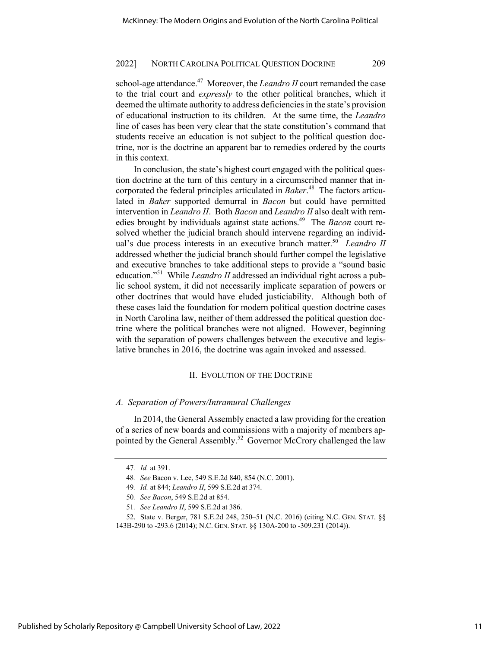school-age attendance.<sup>47</sup> Moreover, the *Leandro II* court remanded the case to the trial court and *expressly* to the other political branches, which it deemed the ultimate authority to address deficiencies in the state's provision of educational instruction to its children. At the same time, the *Leandro* line of cases has been very clear that the state constitution's command that students receive an education is not subject to the political question doctrine, nor is the doctrine an apparent bar to remedies ordered by the courts in this context.

In conclusion, the state's highest court engaged with the political question doctrine at the turn of this century in a circumscribed manner that incorporated the federal principles articulated in *Baker*. 48 The factors articulated in *Baker* supported demurral in *Bacon* but could have permitted intervention in *Leandro II*. Both *Bacon* and *Leandro II* also dealt with remedies brought by individuals against state actions.<sup>49</sup> The *Bacon* court resolved whether the judicial branch should intervene regarding an individual's due process interests in an executive branch matter.<sup>50</sup> *Leandro II* addressed whether the judicial branch should further compel the legislative and executive branches to take additional steps to provide a "sound basic education."51 While *Leandro II* addressed an individual right across a public school system, it did not necessarily implicate separation of powers or other doctrines that would have eluded justiciability. Although both of these cases laid the foundation for modern political question doctrine cases in North Carolina law, neither of them addressed the political question doctrine where the political branches were not aligned. However, beginning with the separation of powers challenges between the executive and legislative branches in 2016, the doctrine was again invoked and assessed.

### II. EVOLUTION OF THE DOCTRINE

### *A. Separation of Powers/Intramural Challenges*

In 2014, the General Assembly enacted a law providing for the creation of a series of new boards and commissions with a majority of members appointed by the General Assembly.<sup>52</sup> Governor McCrory challenged the law

<sup>47</sup>*. Id.* at 391.

<sup>48</sup>*. See* Bacon v. Lee, 549 S.E.2d 840, 854 (N.C. 2001).

<sup>49</sup>*. Id.* at 844; *Leandro II*, 599 S.E.2d at 374.

<sup>50</sup>*. See Bacon*, 549 S.E.2d at 854.

<sup>51</sup>*. See Leandro II*, 599 S.E.2d at 386.

<sup>52.</sup> State v. Berger, 781 S.E.2d 248, 250–51 (N.C. 2016) (citing N.C. GEN. STAT. §§ 143B-290 to -293.6 (2014); N.C. GEN. STAT. §§ 130A-200 to -309.231 (2014)).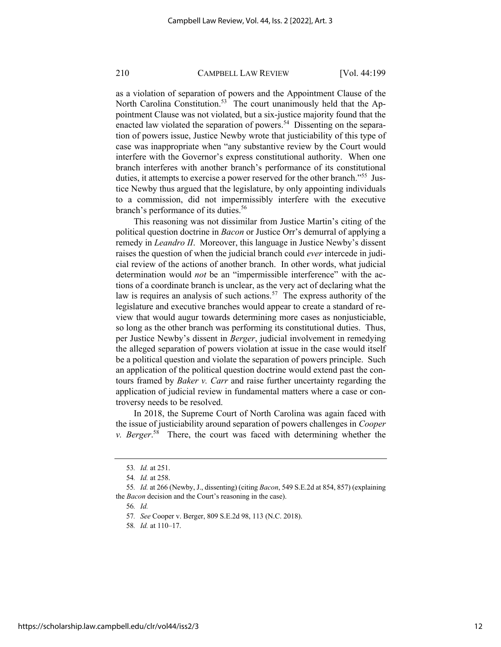as a violation of separation of powers and the Appointment Clause of the North Carolina Constitution.<sup>53</sup> The court unanimously held that the Appointment Clause was not violated, but a six-justice majority found that the enacted law violated the separation of powers.<sup>54</sup> Dissenting on the separation of powers issue, Justice Newby wrote that justiciability of this type of case was inappropriate when "any substantive review by the Court would interfere with the Governor's express constitutional authority. When one branch interferes with another branch's performance of its constitutional duties, it attempts to exercise a power reserved for the other branch."<sup>55</sup> Justice Newby thus argued that the legislature, by only appointing individuals to a commission, did not impermissibly interfere with the executive branch's performance of its duties.<sup>56</sup>

This reasoning was not dissimilar from Justice Martin's citing of the political question doctrine in *Bacon* or Justice Orr's demurral of applying a remedy in *Leandro II*. Moreover, this language in Justice Newby's dissent raises the question of when the judicial branch could *ever* intercede in judicial review of the actions of another branch. In other words, what judicial determination would *not* be an "impermissible interference" with the actions of a coordinate branch is unclear, as the very act of declaring what the law is requires an analysis of such actions.<sup>57</sup> The express authority of the legislature and executive branches would appear to create a standard of review that would augur towards determining more cases as nonjusticiable, so long as the other branch was performing its constitutional duties. Thus, per Justice Newby's dissent in *Berger*, judicial involvement in remedying the alleged separation of powers violation at issue in the case would itself be a political question and violate the separation of powers principle. Such an application of the political question doctrine would extend past the contours framed by *Baker v. Carr* and raise further uncertainty regarding the application of judicial review in fundamental matters where a case or controversy needs to be resolved.

In 2018, the Supreme Court of North Carolina was again faced with the issue of justiciability around separation of powers challenges in *Cooper v. Berger*. 58 There, the court was faced with determining whether the

56*. Id.*

<sup>53</sup>*. Id.* at 251.

<sup>54</sup>*. Id.* at 258.

<sup>55</sup>*. Id.* at 266 (Newby, J., dissenting) (citing *Bacon*, 549 S.E.2d at 854, 857) (explaining the *Bacon* decision and the Court's reasoning in the case).

<sup>57</sup>*. See* Cooper v. Berger, 809 S.E.2d 98, 113 (N.C. 2018).

<sup>58</sup>*. Id.* at 110–17.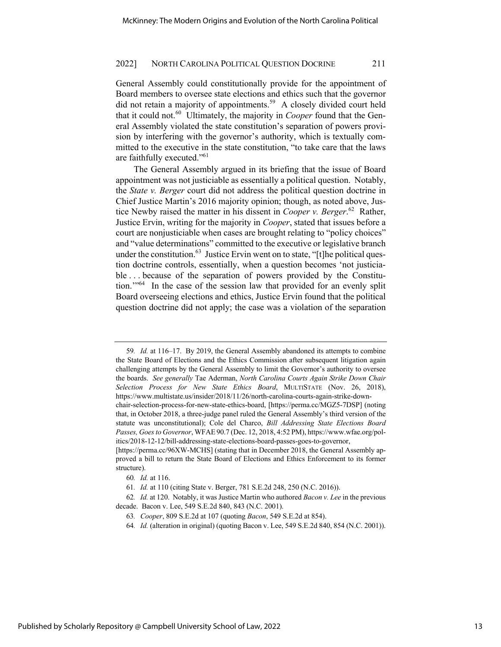General Assembly could constitutionally provide for the appointment of Board members to oversee state elections and ethics such that the governor did not retain a majority of appointments.<sup>59</sup> A closely divided court held that it could not.60 Ultimately, the majority in *Cooper* found that the General Assembly violated the state constitution's separation of powers provision by interfering with the governor's authority, which is textually committed to the executive in the state constitution, "to take care that the laws are faithfully executed."61

The General Assembly argued in its briefing that the issue of Board appointment was not justiciable as essentially a political question. Notably, the *State v. Berger* court did not address the political question doctrine in Chief Justice Martin's 2016 majority opinion; though, as noted above, Justice Newby raised the matter in his dissent in *Cooper v. Berger*. 62 Rather, Justice Ervin, writing for the majority in *Cooper*, stated that issues before a court are nonjusticiable when cases are brought relating to "policy choices" and "value determinations" committed to the executive or legislative branch under the constitution. $^{63}$  Justice Ervin went on to state, "[t]he political question doctrine controls, essentially, when a question becomes 'not justiciable . . . because of the separation of powers provided by the Constitution.'"64 In the case of the session law that provided for an evenly split Board overseeing elections and ethics, Justice Ervin found that the political question doctrine did not apply; the case was a violation of the separation

<sup>59</sup>*. Id.* at 116–17. By 2019, the General Assembly abandoned its attempts to combine the State Board of Elections and the Ethics Commission after subsequent litigation again challenging attempts by the General Assembly to limit the Governor's authority to oversee the boards. *See generally* Tae Aderman, *North Carolina Courts Again Strike Down Chair Selection Process for New State Ethics Board*, MULTISTATE (Nov. 26, 2018), https://www.multistate.us/insider/2018/11/26/north-carolina-courts-again-strike-downchair-selection-process-for-new-state-ethics-board, [https://perma.cc/MGZ5-7DSP] (noting that, in October 2018, a three-judge panel ruled the General Assembly's third version of the statute was unconstitutional); Cole del Charco, *Bill Addressing State Elections Board Passes, Goes to Governor*, WFAE90.7 (Dec. 12, 2018, 4:52 PM), https://www.wfae.org/politics/2018-12-12/bill-addressing-state-elections-board-passes-goes-to-governor, [https://perma.cc/96XW-MCHS] (stating that in December 2018, the General Assembly ap-

proved a bill to return the State Board of Elections and Ethics Enforcement to its former structure).

<sup>60</sup>*. Id.* at 116.

<sup>61</sup>*. Id.* at 110 (citing State v. Berger, 781 S.E.2d 248, 250 (N.C. 2016)).

<sup>62</sup>*. Id.* at 120. Notably, it was Justice Martin who authored *Bacon v. Lee* in the previous decade. Bacon v. Lee, 549 S.E.2d 840, 843 (N.C. 2001).

<sup>63</sup>*. Cooper*, 809 S.E.2d at 107 (quoting *Bacon*, 549 S.E.2d at 854).

<sup>64</sup>*. Id.* (alteration in original) (quoting Bacon v. Lee, 549 S.E.2d 840, 854 (N.C. 2001)).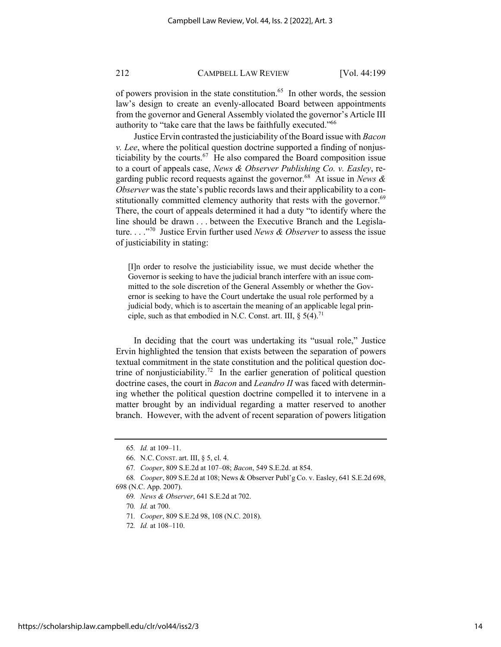of powers provision in the state constitution.<sup>65</sup> In other words, the session law's design to create an evenly-allocated Board between appointments from the governor and General Assembly violated the governor's Article III authority to "take care that the laws be faithfully executed."66

Justice Ervin contrasted the justiciability of the Board issue with *Bacon v. Lee*, where the political question doctrine supported a finding of nonjusticiability by the courts.<sup>67</sup> He also compared the Board composition issue to a court of appeals case, *News & Observer Publishing Co. v. Easley*, regarding public record requests against the governor.68 At issue in *News & Observer* was the state's public records laws and their applicability to a constitutionally committed clemency authority that rests with the governor.<sup>69</sup> There, the court of appeals determined it had a duty "to identify where the line should be drawn . . . between the Executive Branch and the Legislature. . . ."70 Justice Ervin further used *News & Observer* to assess the issue of justiciability in stating:

[I]n order to resolve the justiciability issue, we must decide whether the Governor is seeking to have the judicial branch interfere with an issue committed to the sole discretion of the General Assembly or whether the Governor is seeking to have the Court undertake the usual role performed by a judicial body, which is to ascertain the meaning of an applicable legal principle, such as that embodied in N.C. Const. art. III,  $\S$  5(4).<sup>71</sup>

In deciding that the court was undertaking its "usual role," Justice Ervin highlighted the tension that exists between the separation of powers textual commitment in the state constitution and the political question doctrine of nonjusticiability.<sup>72</sup> In the earlier generation of political question doctrine cases, the court in *Bacon* and *Leandro II* was faced with determining whether the political question doctrine compelled it to intervene in a matter brought by an individual regarding a matter reserved to another branch. However, with the advent of recent separation of powers litigation

<sup>65</sup>*. Id.* at 109–11.

<sup>66.</sup> N.C. CONST. art. III, § 5, cl. 4.

<sup>67</sup>*. Cooper*, 809 S.E.2d at 107–08; *Bacon*, 549 S.E.2d. at 854.

<sup>68</sup>*. Cooper*, 809 S.E.2d at 108; News & Observer Publ'g Co. v. Easley, 641 S.E.2d 698, 698 (N.C. App. 2007).

<sup>69</sup>*. News & Observer*, 641 S.E.2d at 702.

<sup>70</sup>*. Id.* at 700.

<sup>71</sup>*. Cooper*, 809 S.E.2d 98, 108 (N.C. 2018).

<sup>72</sup>*. Id.* at 108–110.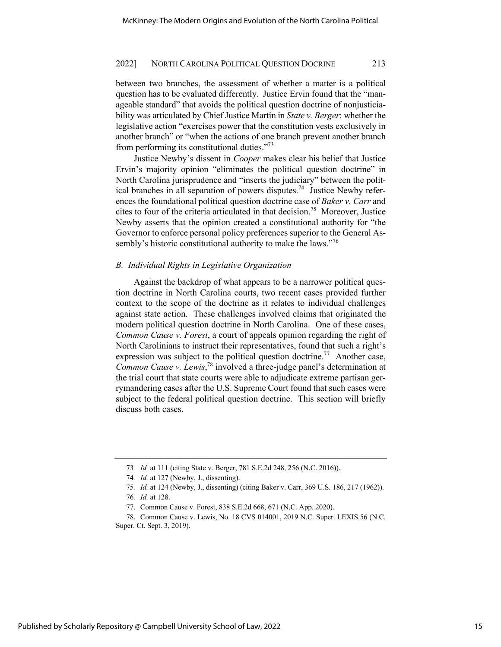between two branches, the assessment of whether a matter is a political question has to be evaluated differently. Justice Ervin found that the "manageable standard" that avoids the political question doctrine of nonjusticiability was articulated by Chief Justice Martin in *State v. Berger*: whether the legislative action "exercises power that the constitution vests exclusively in another branch" or "when the actions of one branch prevent another branch from performing its constitutional duties."73

Justice Newby's dissent in *Cooper* makes clear his belief that Justice Ervin's majority opinion "eliminates the political question doctrine" in North Carolina jurisprudence and "inserts the judiciary" between the political branches in all separation of powers disputes.<sup>74</sup> Justice Newby references the foundational political question doctrine case of *Baker v. Carr* and cites to four of the criteria articulated in that decision.<sup>75</sup> Moreover, Justice Newby asserts that the opinion created a constitutional authority for "the Governor to enforce personal policy preferences superior to the General Assembly's historic constitutional authority to make the laws."<sup>76</sup>

### *B. Individual Rights in Legislative Organization*

Against the backdrop of what appears to be a narrower political question doctrine in North Carolina courts, two recent cases provided further context to the scope of the doctrine as it relates to individual challenges against state action. These challenges involved claims that originated the modern political question doctrine in North Carolina. One of these cases, *Common Cause v. Forest*, a court of appeals opinion regarding the right of North Carolinians to instruct their representatives, found that such a right's expression was subject to the political question doctrine.<sup>77</sup> Another case, *Common Cause v. Lewis*, <sup>78</sup> involved a three-judge panel's determination at the trial court that state courts were able to adjudicate extreme partisan gerrymandering cases after the U.S. Supreme Court found that such cases were subject to the federal political question doctrine. This section will briefly discuss both cases.

<sup>73</sup>*. Id.* at 111 (citing State v. Berger, 781 S.E.2d 248, 256 (N.C. 2016)).

<sup>74</sup>*. Id.* at 127 (Newby, J., dissenting).

<sup>75</sup>*. Id.* at 124 (Newby, J., dissenting) (citing Baker v. Carr, 369 U.S. 186, 217 (1962)).

<sup>76</sup>*. Id.* at 128.

<sup>77.</sup> Common Cause v. Forest, 838 S.E.2d 668, 671 (N.C. App. 2020).

<sup>78.</sup> Common Cause v. Lewis, No. 18 CVS 014001, 2019 N.C. Super. LEXIS 56 (N.C. Super. Ct. Sept. 3, 2019).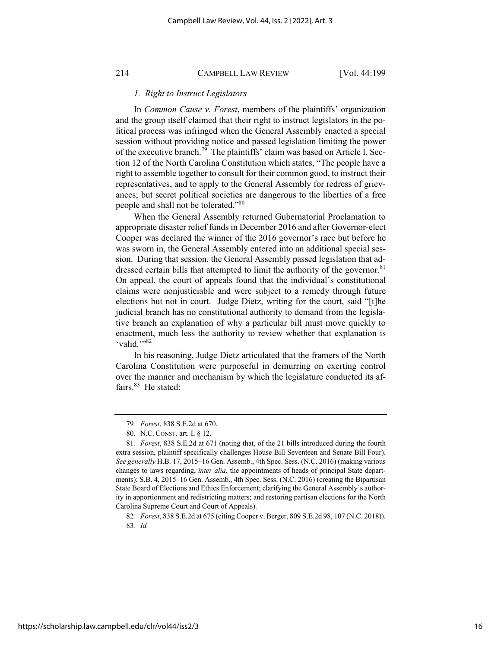### *1. Right to Instruct Legislators*

In *Common Cause v. Forest*, members of the plaintiffs' organization and the group itself claimed that their right to instruct legislators in the political process was infringed when the General Assembly enacted a special session without providing notice and passed legislation limiting the power of the executive branch.<sup>79</sup> The plaintiffs' claim was based on Article I, Section 12 of the North Carolina Constitution which states, "The people have a right to assemble together to consult for their common good, to instruct their representatives, and to apply to the General Assembly for redress of grievances; but secret political societies are dangerous to the liberties of a free people and shall not be tolerated."<sup>80</sup>

When the General Assembly returned Gubernatorial Proclamation to appropriate disaster relief funds in December 2016 and after Governor-elect Cooper was declared the winner of the 2016 governor's race but before he was sworn in, the General Assembly entered into an additional special session. During that session, the General Assembly passed legislation that addressed certain bills that attempted to limit the authority of the governor.<sup>81</sup> On appeal, the court of appeals found that the individual's constitutional claims were nonjusticiable and were subject to a remedy through future elections but not in court. Judge Dietz, writing for the court, said "[t]he judicial branch has no constitutional authority to demand from the legislative branch an explanation of why a particular bill must move quickly to enactment, much less the authority to review whether that explanation is 'valid."<sup>82</sup>

In his reasoning, Judge Dietz articulated that the framers of the North Carolina Constitution were purposeful in demurring on exerting control over the manner and mechanism by which the legislature conducted its affairs.<sup>83</sup> He stated:

<sup>79</sup>*. Forest*, 838 S.E.2d at 670.

<sup>80.</sup> N.C. CONST. art. I, § 12.

<sup>81</sup>*. Forest*, 838 S.E.2d at 671 (noting that, of the 21 bills introduced during the fourth extra session, plaintiff specifically challenges House Bill Seventeen and Senate Bill Four). *See generally* H.B. 17, 2015–16 Gen. Assemb., 4th Spec. Sess. (N.C. 2016) (making various changes to laws regarding, *inter alia*, the appointments of heads of principal State departments); S.B. 4, 2015–16 Gen. Assemb., 4th Spec. Sess. (N.C. 2016) (creating the Bipartisan State Board of Elections and Ethics Enforcement; clarifying the General Assembly's authority in apportionment and redistricting matters; and restoring partisan elections for the North Carolina Supreme Court and Court of Appeals).

<sup>82</sup>*. Forest*, 838 S.E.2d at 675 (citing Cooper v. Berger, 809 S.E.2d 98, 107 (N.C. 2018)). 83*. Id.*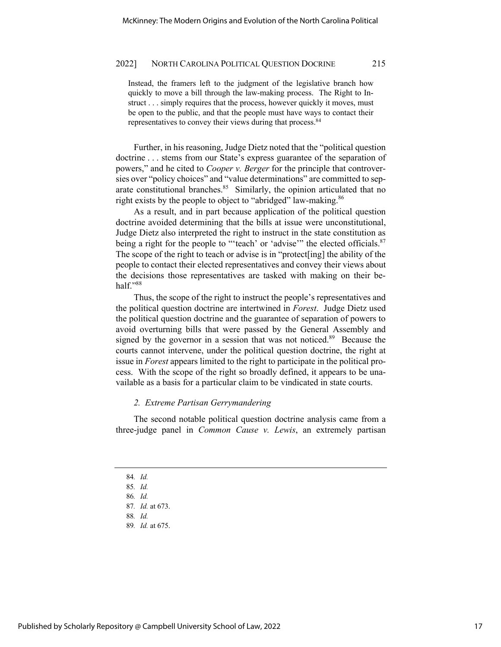Instead, the framers left to the judgment of the legislative branch how quickly to move a bill through the law-making process. The Right to Instruct . . . simply requires that the process, however quickly it moves, must be open to the public, and that the people must have ways to contact their representatives to convey their views during that process.<sup>84</sup>

Further, in his reasoning, Judge Dietz noted that the "political question doctrine . . . stems from our State's express guarantee of the separation of powers," and he cited to *Cooper v. Berger* for the principle that controversies over "policy choices" and "value determinations" are committed to separate constitutional branches.<sup>85</sup> Similarly, the opinion articulated that no right exists by the people to object to "abridged" law-making.<sup>86</sup>

As a result, and in part because application of the political question doctrine avoided determining that the bills at issue were unconstitutional, Judge Dietz also interpreted the right to instruct in the state constitution as being a right for the people to "'teach' or 'advise'" the elected officials. $87$ The scope of the right to teach or advise is in "protect[ing] the ability of the people to contact their elected representatives and convey their views about the decisions those representatives are tasked with making on their behalf."88

Thus, the scope of the right to instruct the people's representatives and the political question doctrine are intertwined in *Forest*. Judge Dietz used the political question doctrine and the guarantee of separation of powers to avoid overturning bills that were passed by the General Assembly and signed by the governor in a session that was not noticed.<sup>89</sup> Because the courts cannot intervene, under the political question doctrine, the right at issue in *Forest* appears limited to the right to participate in the political process. With the scope of the right so broadly defined, it appears to be unavailable as a basis for a particular claim to be vindicated in state courts.

### *2. Extreme Partisan Gerrymandering*

The second notable political question doctrine analysis came from a three-judge panel in *Common Cause v. Lewis*, an extremely partisan

<sup>84</sup>*. Id.*

<sup>85</sup>*. Id.*

<sup>86</sup>*. Id.*

<sup>87</sup>*. Id.* at 673.

<sup>88</sup>*. Id.*

<sup>89</sup>*. Id.* at 675.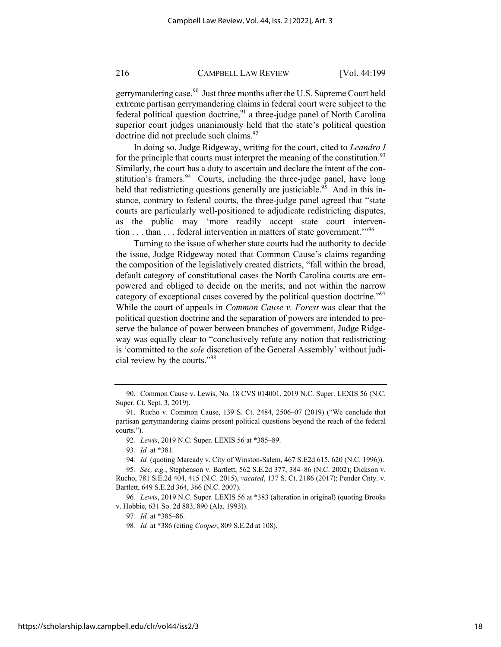gerrymandering case.<sup>90</sup> Just three months after the U.S. Supreme Court held extreme partisan gerrymandering claims in federal court were subject to the federal political question doctrine,<sup>91</sup> a three-judge panel of North Carolina superior court judges unanimously held that the state's political question doctrine did not preclude such claims.<sup>92</sup>

In doing so, Judge Ridgeway, writing for the court, cited to *Leandro I* for the principle that courts must interpret the meaning of the constitution.<sup>93</sup> Similarly, the court has a duty to ascertain and declare the intent of the constitution's framers. $94$  Courts, including the three-judge panel, have long held that redistricting questions generally are justiciable.<sup>95</sup> And in this instance, contrary to federal courts, the three-judge panel agreed that "state courts are particularly well-positioned to adjudicate redistricting disputes, as the public may 'more readily accept state court intervention . . . than . . . federal intervention in matters of state government.'"96

Turning to the issue of whether state courts had the authority to decide the issue, Judge Ridgeway noted that Common Cause's claims regarding the composition of the legislatively created districts, "fall within the broad, default category of constitutional cases the North Carolina courts are empowered and obliged to decide on the merits, and not within the narrow category of exceptional cases covered by the political question doctrine."<sup>97</sup> While the court of appeals in *Common Cause v. Forest* was clear that the political question doctrine and the separation of powers are intended to preserve the balance of power between branches of government, Judge Ridgeway was equally clear to "conclusively refute any notion that redistricting is 'committed to the *sole* discretion of the General Assembly' without judicial review by the courts."98

96*. Lewis*, 2019 N.C. Super. LEXIS 56 at \*383 (alteration in original) (quoting Brooks v. Hobbie, 631 So. 2d 883, 890 (Ala. 1993)).

<sup>90.</sup> Common Cause v. Lewis, No. 18 CVS 014001, 2019 N.C. Super. LEXIS 56 (N.C. Super. Ct. Sept. 3, 2019).

<sup>91.</sup> Rucho v. Common Cause, 139 S. Ct. 2484, 2506–07 (2019) ("We conclude that partisan gerrymandering claims present political questions beyond the reach of the federal courts.").

<sup>92</sup>*. Lewis*, 2019 N.C. Super. LEXIS 56 at \*385–89.

<sup>93</sup>*. Id.* at \*381.

<sup>94</sup>*. Id.* (quoting Maready v. City of Winston-Salem, 467 S.E2d 615, 620 (N.C. 1996)).

<sup>95</sup>*. See, e.g.*, Stephenson v. Bartlett, 562 S.E.2d 377, 384–86 (N.C. 2002); Dickson v. Rucho, 781 S.E.2d 404, 415 (N.C. 2015), *vacated*, 137 S. Ct. 2186 (2017); Pender Cnty. v. Bartlett, 649 S.E.2d 364, 366 (N.C. 2007).

<sup>97</sup>*. Id.* at \*385–86.

<sup>98</sup>*. Id.* at \*386 (citing *Cooper*, 809 S.E.2d at 108).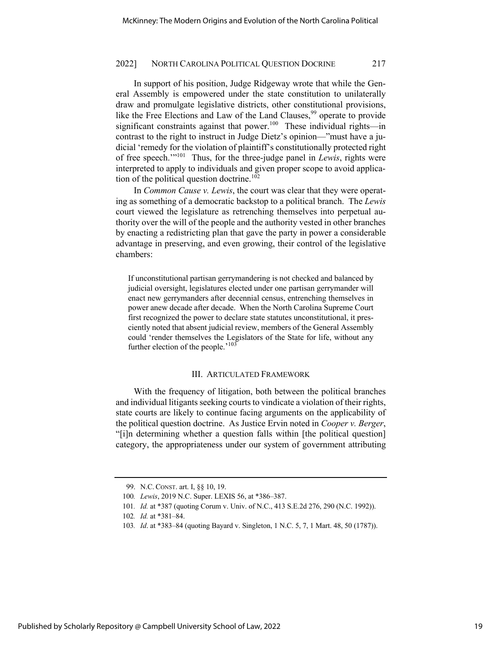In support of his position, Judge Ridgeway wrote that while the General Assembly is empowered under the state constitution to unilaterally draw and promulgate legislative districts, other constitutional provisions, like the Free Elections and Law of the Land Clauses,  $99$  operate to provide significant constraints against that power.<sup>100</sup> These individual rights—in contrast to the right to instruct in Judge Dietz's opinion—"must have a judicial 'remedy for the violation of plaintiff's constitutionally protected right of free speech.'"101 Thus, for the three-judge panel in *Lewis*, rights were interpreted to apply to individuals and given proper scope to avoid application of the political question doctrine.<sup>102</sup>

In *Common Cause v. Lewis*, the court was clear that they were operating as something of a democratic backstop to a political branch. The *Lewis* court viewed the legislature as retrenching themselves into perpetual authority over the will of the people and the authority vested in other branches by enacting a redistricting plan that gave the party in power a considerable advantage in preserving, and even growing, their control of the legislative chambers:

If unconstitutional partisan gerrymandering is not checked and balanced by judicial oversight, legislatures elected under one partisan gerrymander will enact new gerrymanders after decennial census, entrenching themselves in power anew decade after decade. When the North Carolina Supreme Court first recognized the power to declare state statutes unconstitutional, it presciently noted that absent judicial review, members of the General Assembly could 'render themselves the Legislators of the State for life, without any further election of the people.<sup>'103</sup>

### III. ARTICULATED FRAMEWORK

With the frequency of litigation, both between the political branches and individual litigants seeking courts to vindicate a violation of their rights, state courts are likely to continue facing arguments on the applicability of the political question doctrine. As Justice Ervin noted in *Cooper v. Berger*, "[i]n determining whether a question falls within [the political question] category, the appropriateness under our system of government attributing

<sup>99.</sup> N.C. CONST. art. I, §§ 10, 19.

<sup>100</sup>*. Lewis*, 2019 N.C. Super. LEXIS 56, at \*386–387.

<sup>101</sup>*. Id.* at \*387 (quoting Corum v. Univ. of N.C., 413 S.E.2d 276, 290 (N.C. 1992)).

<sup>102</sup>*. Id.* at \*381–84.

<sup>103</sup>*. Id*. at \*383–84 (quoting Bayard v. Singleton, 1 N.C. 5, 7, 1 Mart. 48, 50 (1787)).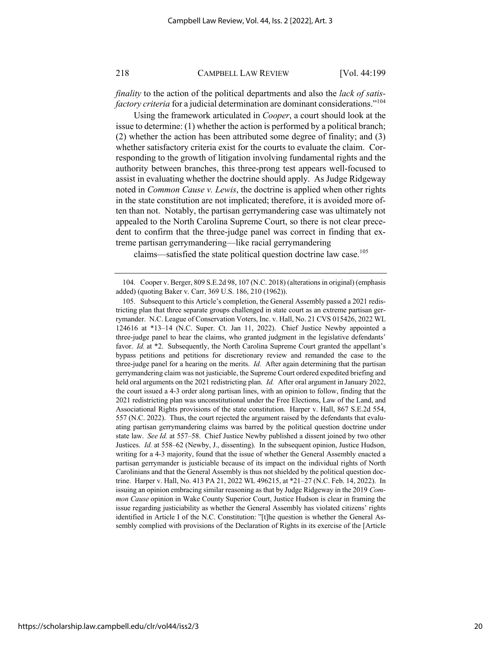*finality* to the action of the political departments and also the *lack of satisfactory criteria* for a judicial determination are dominant considerations."<sup>104</sup>

Using the framework articulated in *Cooper*, a court should look at the issue to determine: (1) whether the action is performed by a political branch; (2) whether the action has been attributed some degree of finality; and (3) whether satisfactory criteria exist for the courts to evaluate the claim. Corresponding to the growth of litigation involving fundamental rights and the authority between branches, this three-prong test appears well-focused to assist in evaluating whether the doctrine should apply. As Judge Ridgeway noted in *Common Cause v. Lewis*, the doctrine is applied when other rights in the state constitution are not implicated; therefore, it is avoided more often than not. Notably, the partisan gerrymandering case was ultimately not appealed to the North Carolina Supreme Court, so there is not clear precedent to confirm that the three-judge panel was correct in finding that extreme partisan gerrymandering—like racial gerrymandering

claims—satisfied the state political question doctrine law case.<sup>105</sup>

<sup>104.</sup> Cooper v. Berger, 809 S.E.2d 98, 107 (N.C. 2018) (alterations in original) (emphasis added) (quoting Baker v. Carr, 369 U.S. 186, 210 (1962)).

<sup>105.</sup> Subsequent to this Article's completion, the General Assembly passed a 2021 redistricting plan that three separate groups challenged in state court as an extreme partisan gerrymander. N.C. League of Conservation Voters, Inc. v. Hall, No. 21 CVS 015426, 2022 WL 124616 at \*13–14 (N.C. Super. Ct. Jan 11, 2022). Chief Justice Newby appointed a three-judge panel to hear the claims, who granted judgment in the legislative defendants' favor. *Id.* at \*2. Subsequently, the North Carolina Supreme Court granted the appellant's bypass petitions and petitions for discretionary review and remanded the case to the three-judge panel for a hearing on the merits. *Id.* After again determining that the partisan gerrymandering claim was not justiciable, the Supreme Court ordered expedited briefing and held oral arguments on the 2021 redistricting plan. *Id.* After oral argument in January 2022, the court issued a 4-3 order along partisan lines, with an opinion to follow, finding that the 2021 redistricting plan was unconstitutional under the Free Elections, Law of the Land, and Associational Rights provisions of the state constitution. Harper v. Hall, 867 S.E.2d 554, 557 (N.C. 2022). Thus, the court rejected the argument raised by the defendants that evaluating partisan gerrymandering claims was barred by the political question doctrine under state law. *See Id.* at 557–58. Chief Justice Newby published a dissent joined by two other Justices. *Id.* at 558–62 (Newby, J., dissenting). In the subsequent opinion, Justice Hudson, writing for a 4-3 majority, found that the issue of whether the General Assembly enacted a partisan gerrymander is justiciable because of its impact on the individual rights of North Carolinians and that the General Assembly is thus not shielded by the political question doctrine. Harper v. Hall, No. 413 PA 21, 2022 WL 496215, at \*21–27 (N.C. Feb. 14, 2022). In issuing an opinion embracing similar reasoning as that by Judge Ridgeway in the 2019 *Common Cause* opinion in Wake County Superior Court, Justice Hudson is clear in framing the issue regarding justiciability as whether the General Assembly has violated citizens' rights identified in Article I of the N.C. Constitution: "[t]he question is whether the General Assembly complied with provisions of the Declaration of Rights in its exercise of the [Article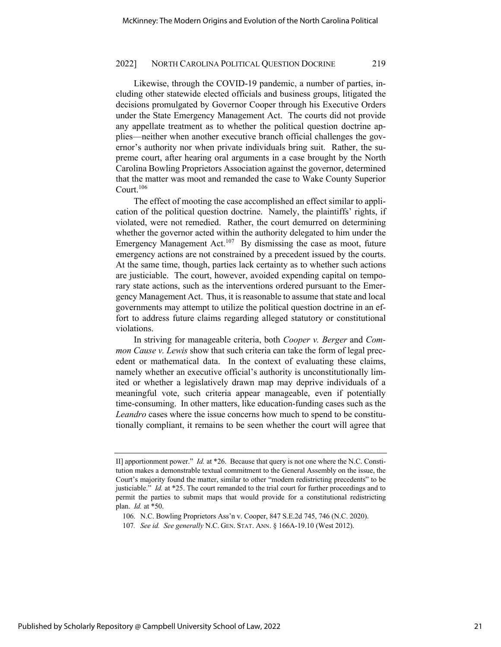Likewise, through the COVID-19 pandemic, a number of parties, including other statewide elected officials and business groups, litigated the decisions promulgated by Governor Cooper through his Executive Orders under the State Emergency Management Act. The courts did not provide any appellate treatment as to whether the political question doctrine applies—neither when another executive branch official challenges the governor's authority nor when private individuals bring suit. Rather, the supreme court, after hearing oral arguments in a case brought by the North Carolina Bowling Proprietors Association against the governor, determined that the matter was moot and remanded the case to Wake County Superior Court.<sup>106</sup>

The effect of mooting the case accomplished an effect similar to application of the political question doctrine. Namely, the plaintiffs' rights, if violated, were not remedied. Rather, the court demurred on determining whether the governor acted within the authority delegated to him under the Emergency Management Act.<sup>107</sup> By dismissing the case as moot, future emergency actions are not constrained by a precedent issued by the courts. At the same time, though, parties lack certainty as to whether such actions are justiciable. The court, however, avoided expending capital on temporary state actions, such as the interventions ordered pursuant to the Emergency Management Act. Thus, it is reasonable to assume that state and local governments may attempt to utilize the political question doctrine in an effort to address future claims regarding alleged statutory or constitutional violations.

In striving for manageable criteria, both *Cooper v. Berger* and *Common Cause v. Lewis* show that such criteria can take the form of legal precedent or mathematical data. In the context of evaluating these claims, namely whether an executive official's authority is unconstitutionally limited or whether a legislatively drawn map may deprive individuals of a meaningful vote, such criteria appear manageable, even if potentially time-consuming. In other matters, like education-funding cases such as the *Leandro* cases where the issue concerns how much to spend to be constitutionally compliant, it remains to be seen whether the court will agree that

II] apportionment power." *Id.* at \*26. Because that query is not one where the N.C. Constitution makes a demonstrable textual commitment to the General Assembly on the issue, the Court's majority found the matter, similar to other "modern redistricting precedents" to be justiciable." *Id.* at \*25. The court remanded to the trial court for further proceedings and to permit the parties to submit maps that would provide for a constitutional redistricting plan. *Id.* at \*50.

<sup>106.</sup> N.C. Bowling Proprietors Ass'n v. Cooper, 847 S.E.2d 745, 746 (N.C. 2020).

<sup>107</sup>*. See id. See generally* N.C. GEN. STAT. ANN. § 166A-19.10 (West 2012).